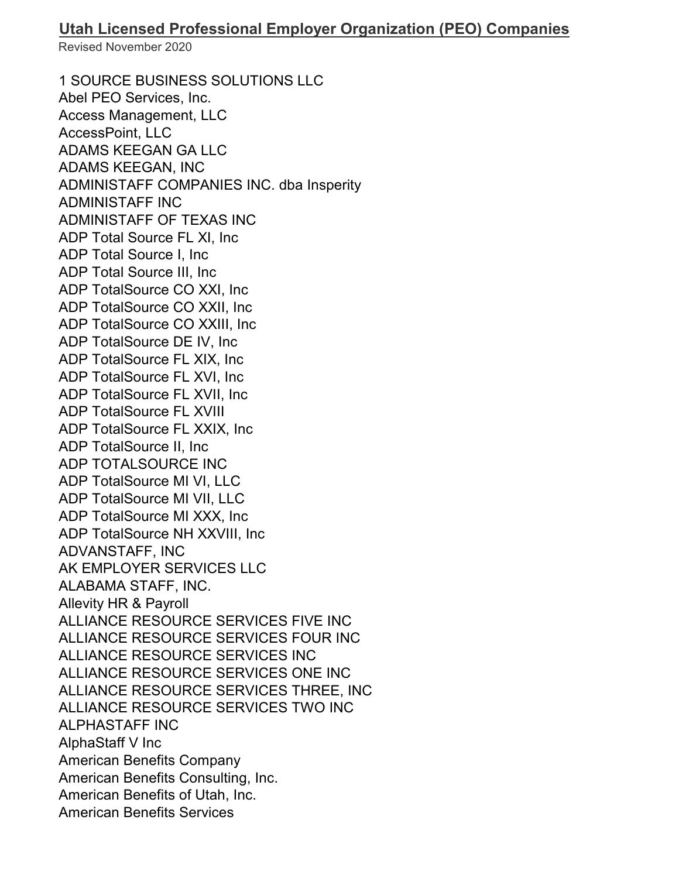1 SOURCE BUSINESS SOLUTIONS LLC Abel PEO Services, Inc. Access Management, LLC AccessPoint, LLC ADAMS KEEGAN GA LLC ADAMS KEEGAN, INC ADMINISTAFF COMPANIES INC. dba Insperity ADMINISTAFF INC ADMINISTAFF OF TEXAS INC ADP Total Source FL XI, Inc ADP Total Source I, Inc ADP Total Source III, Inc ADP TotalSource CO XXI, Inc ADP TotalSource CO XXII, Inc ADP TotalSource CO XXIII, Inc ADP TotalSource DE IV, Inc ADP TotalSource FL XIX, Inc ADP TotalSource FL XVI, Inc ADP TotalSource FL XVII, Inc ADP TotalSource FL XVIII ADP TotalSource FL XXIX, Inc ADP TotalSource II, Inc ADP TOTALSOURCE INC ADP TotalSource MI VI, LLC ADP TotalSource MI VII, LLC ADP TotalSource MI XXX, Inc ADP TotalSource NH XXVIII, Inc ADVANSTAFF, INC AK EMPLOYER SERVICES LLC ALABAMA STAFF, INC. Allevity HR & Payroll ALLIANCE RESOURCE SERVICES FIVE INC ALLIANCE RESOURCE SERVICES FOUR INC ALLIANCE RESOURCE SERVICES INC ALLIANCE RESOURCE SERVICES ONE INC ALLIANCE RESOURCE SERVICES THREE, INC ALLIANCE RESOURCE SERVICES TWO INC ALPHASTAFF INC AlphaStaff V Inc American Benefits Company American Benefits Consulting, Inc. American Benefits of Utah, Inc. American Benefits Services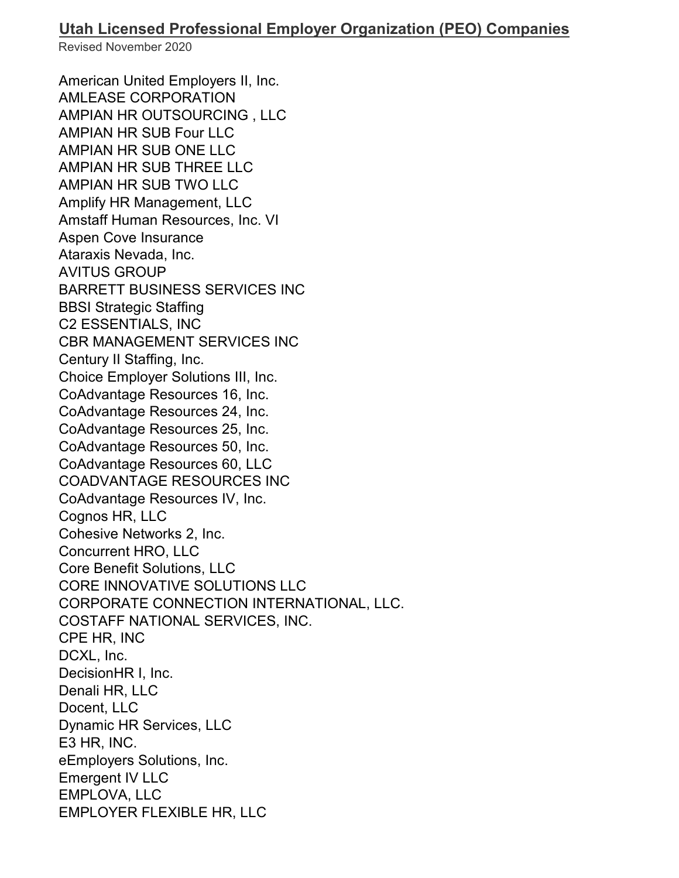American United Employers II, Inc. AMLEASE CORPORATION AMPIAN HR OUTSOURCING , LLC AMPIAN HR SUB Four LLC AMPIAN HR SUB ONE LLC AMPIAN HR SUB THREE LLC AMPIAN HR SUB TWO LLC Amplify HR Management, LLC Amstaff Human Resources, Inc. VI Aspen Cove Insurance Ataraxis Nevada, Inc. AVITUS GROUP BARRETT BUSINESS SERVICES INC BBSI Strategic Staffing C2 ESSENTIALS, INC CBR MANAGEMENT SERVICES INC Century II Staffing, Inc. Choice Employer Solutions III, Inc. CoAdvantage Resources 16, Inc. CoAdvantage Resources 24, Inc. CoAdvantage Resources 25, Inc. CoAdvantage Resources 50, Inc. CoAdvantage Resources 60, LLC COADVANTAGE RESOURCES INC CoAdvantage Resources IV, Inc. Cognos HR, LLC Cohesive Networks 2, Inc. Concurrent HRO, LLC Core Benefit Solutions, LLC CORE INNOVATIVE SOLUTIONS LLC CORPORATE CONNECTION INTERNATIONAL, LLC. COSTAFF NATIONAL SERVICES, INC. CPE HR, INC DCXL, Inc. DecisionHR I, Inc. Denali HR, LLC Docent, LLC Dynamic HR Services, LLC E3 HR, INC. eEmployers Solutions, Inc. Emergent IV LLC EMPLOVA, LLC EMPLOYER FLEXIBLE HR, LLC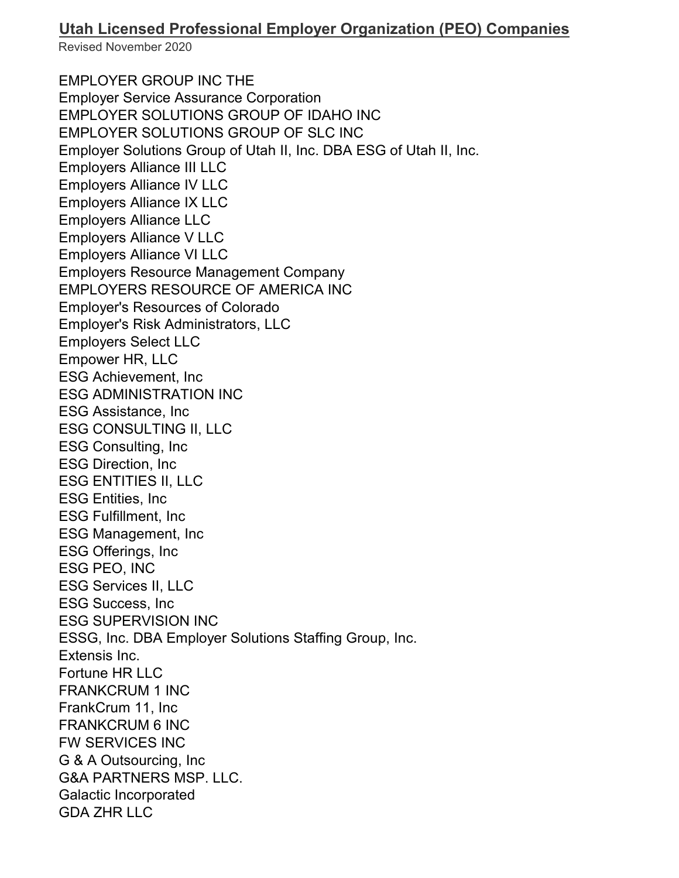## **Utah Licensed Professional Employer Organization (PEO) Companies**

Revised November 2020

EMPLOYER GROUP INC THE Employer Service Assurance Corporation EMPLOYER SOLUTIONS GROUP OF IDAHO INC EMPLOYER SOLUTIONS GROUP OF SLC INC Employer Solutions Group of Utah II, Inc. DBA ESG of Utah II, Inc. Employers Alliance III LLC Employers Alliance IV LLC Employers Alliance IX LLC Employers Alliance LLC Employers Alliance V LLC Employers Alliance VI LLC Employers Resource Management Company EMPLOYERS RESOURCE OF AMERICA INC Employer's Resources of Colorado Employer's Risk Administrators, LLC Employers Select LLC Empower HR, LLC ESG Achievement, Inc ESG ADMINISTRATION INC ESG Assistance, Inc ESG CONSULTING II, LLC ESG Consulting, Inc ESG Direction, Inc ESG ENTITIES II, LLC ESG Entities, Inc ESG Fulfillment, Inc ESG Management, Inc ESG Offerings, Inc ESG PEO, INC ESG Services II, LLC ESG Success, Inc ESG SUPERVISION INC ESSG, Inc. DBA Employer Solutions Staffing Group, Inc. Extensis Inc. Fortune HR LLC FRANKCRUM 1 INC FrankCrum 11, Inc FRANKCRUM 6 INC FW SERVICES INC G & A Outsourcing, Inc G&A PARTNERS MSP. LLC. Galactic Incorporated GDA ZHR LLC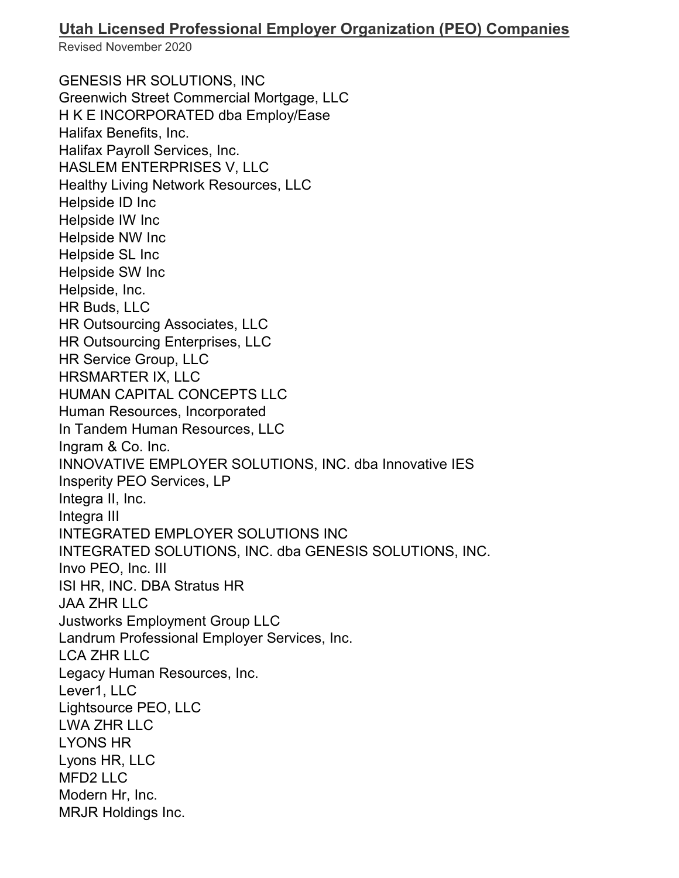## **Utah Licensed Professional Employer Organization (PEO) Companies**

Revised November 2020

GENESIS HR SOLUTIONS, INC Greenwich Street Commercial Mortgage, LLC H K E INCORPORATED dba Employ/Ease Halifax Benefits, Inc. Halifax Payroll Services, Inc. HASLEM ENTERPRISES V, LLC Healthy Living Network Resources, LLC Helpside ID Inc Helpside IW Inc Helpside NW Inc Helpside SL Inc Helpside SW Inc Helpside, Inc. HR Buds, LLC HR Outsourcing Associates, LLC HR Outsourcing Enterprises, LLC HR Service Group, LLC HRSMARTER IX, LLC HUMAN CAPITAL CONCEPTS LLC Human Resources, Incorporated In Tandem Human Resources, LLC Ingram & Co. Inc. INNOVATIVE EMPLOYER SOLUTIONS, INC. dba Innovative IES Insperity PEO Services, LP Integra II, Inc. Integra III INTEGRATED EMPLOYER SOLUTIONS INC INTEGRATED SOLUTIONS, INC. dba GENESIS SOLUTIONS, INC. Invo PEO, Inc. III ISI HR, INC. DBA Stratus HR JAA ZHR LLC Justworks Employment Group LLC Landrum Professional Employer Services, Inc. LCA ZHR LLC Legacy Human Resources, Inc. Lever1, LLC Lightsource PEO, LLC LWA ZHR LLC LYONS HR Lyons HR, LLC MFD2 LLC Modern Hr, Inc. MRJR Holdings Inc.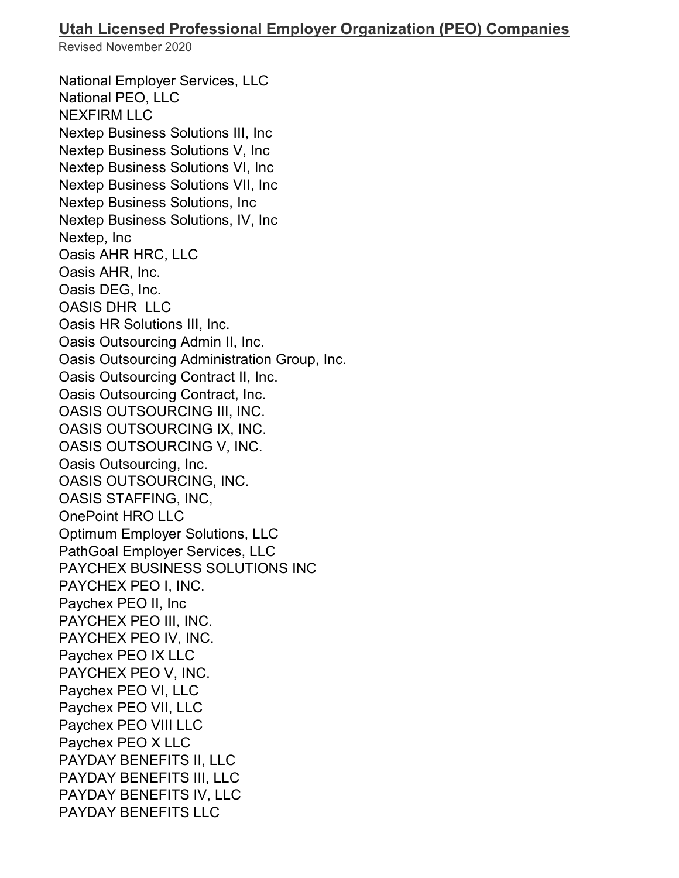National Employer Services, LLC National PEO, LLC NEXFIRM LLC Nextep Business Solutions III, Inc Nextep Business Solutions V, Inc Nextep Business Solutions VI, Inc Nextep Business Solutions VII, Inc Nextep Business Solutions, Inc Nextep Business Solutions, IV, Inc Nextep, Inc Oasis AHR HRC, LLC Oasis AHR, Inc. Oasis DEG, Inc. OASIS DHR LLC Oasis HR Solutions III, Inc. Oasis Outsourcing Admin II, Inc. Oasis Outsourcing Administration Group, Inc. Oasis Outsourcing Contract II, Inc. Oasis Outsourcing Contract, Inc. OASIS OUTSOURCING III, INC. OASIS OUTSOURCING IX, INC. OASIS OUTSOURCING V, INC. Oasis Outsourcing, Inc. OASIS OUTSOURCING, INC. OASIS STAFFING, INC, OnePoint HRO LLC Optimum Employer Solutions, LLC PathGoal Employer Services, LLC PAYCHEX BUSINESS SOLUTIONS INC PAYCHEX PEO I, INC. Paychex PEO II, Inc PAYCHEX PEO III, INC. PAYCHEX PEO IV, INC. Paychex PEO IX LLC PAYCHEX PEO V, INC. Paychex PEO VI, LLC Paychex PEO VII, LLC Paychex PEO VIII LLC Paychex PEO X LLC PAYDAY BENEFITS II, LLC PAYDAY BENEFITS III, LLC PAYDAY BENEFITS IV, LLC PAYDAY BENEFITS LLC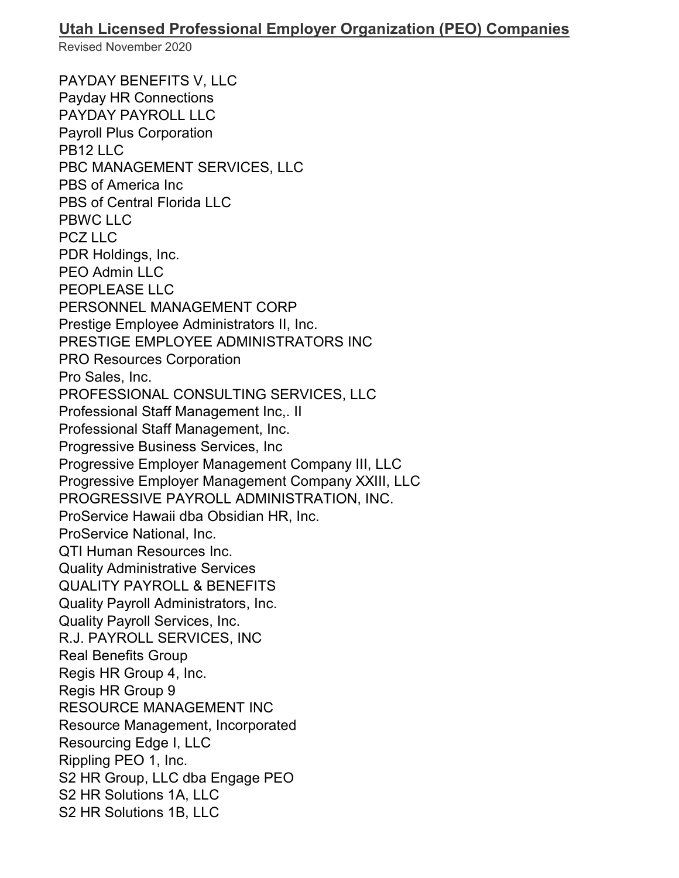PAYDAY BENEFITS V, LLC Payday HR Connections PAYDAY PAYROLL LLC Payroll Plus Corporation PB12 LLC PBC MANAGEMENT SERVICES, LLC PBS of America Inc PBS of Central Florida LLC PBWC LLC PCZ LLC PDR Holdings, Inc. PEO Admin LLC PEOPLEASE LLC PERSONNEL MANAGEMENT CORP Prestige Employee Administrators II, Inc. PRESTIGE EMPLOYEE ADMINISTRATORS INC PRO Resources Corporation Pro Sales, Inc. PROFESSIONAL CONSULTING SERVICES, LLC Professional Staff Management Inc,. II Professional Staff Management, Inc. Progressive Business Services, Inc Progressive Employer Management Company III, LLC Progressive Employer Management Company XXIII, LLC PROGRESSIVE PAYROLL ADMINISTRATION, INC. ProService Hawaii dba Obsidian HR, Inc. ProService National, Inc. QTI Human Resources Inc. Quality Administrative Services QUALITY PAYROLL & BENEFITS Quality Payroll Administrators, Inc. Quality Payroll Services, Inc. R.J. PAYROLL SERVICES, INC Real Benefits Group Regis HR Group 4, Inc. Regis HR Group 9 RESOURCE MANAGEMENT INC Resource Management, Incorporated Resourcing Edge I, LLC Rippling PEO 1, Inc. S2 HR Group, LLC dba Engage PEO S2 HR Solutions 1A, LLC S2 HR Solutions 1B, LLC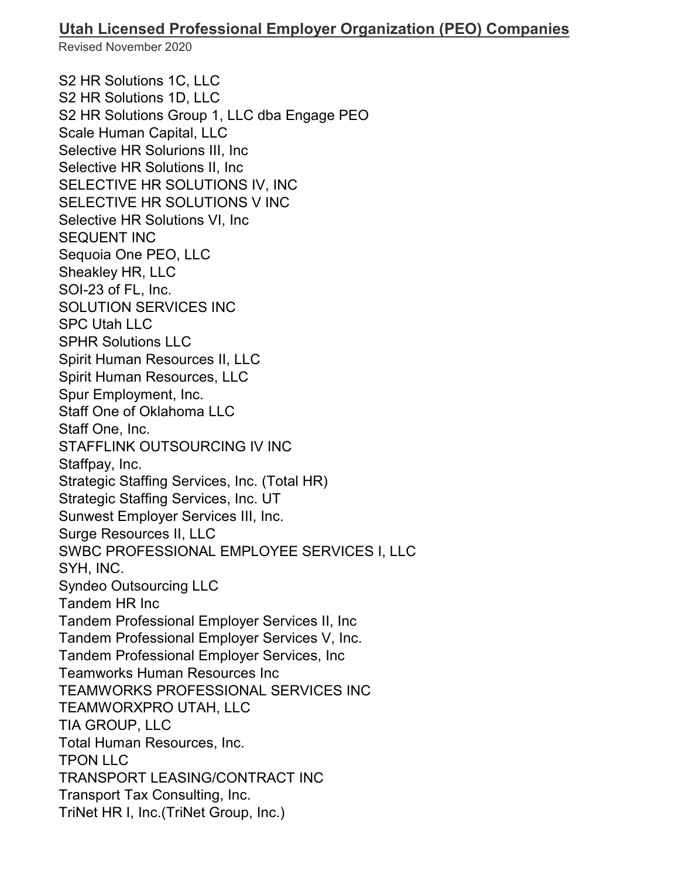S2 HR Solutions 1C, LLC S2 HR Solutions 1D, LLC S2 HR Solutions Group 1, LLC dba Engage PEO Scale Human Capital, LLC Selective HR Solurions III, Inc Selective HR Solutions II, Inc SELECTIVE HR SOLUTIONS IV, INC SELECTIVE HR SOLUTIONS V INC Selective HR Solutions VI, Inc SEQUENT INC Sequoia One PEO, LLC Sheakley HR, LLC SOI-23 of FL, Inc. SOLUTION SERVICES INC SPC Utah LLC SPHR Solutions LLC Spirit Human Resources II, LLC Spirit Human Resources, LLC Spur Employment, Inc. Staff One of Oklahoma LLC Staff One, Inc. STAFFLINK OUTSOURCING IV INC Staffpay, Inc. Strategic Staffing Services, Inc. (Total HR) Strategic Staffing Services, Inc. UT Sunwest Employer Services III, Inc. Surge Resources II, LLC SWBC PROFESSIONAL EMPLOYEE SERVICES I, LLC SYH, INC. Syndeo Outsourcing LLC Tandem HR Inc Tandem Professional Employer Services II, Inc Tandem Professional Employer Services V, Inc. Tandem Professional Employer Services, Inc Teamworks Human Resources Inc TEAMWORKS PROFESSIONAL SERVICES INC TEAMWORXPRO UTAH, LLC TIA GROUP, LLC Total Human Resources, Inc. TPON LLC TRANSPORT LEASING/CONTRACT INC Transport Tax Consulting, Inc. TriNet HR I, Inc.(TriNet Group, Inc.)